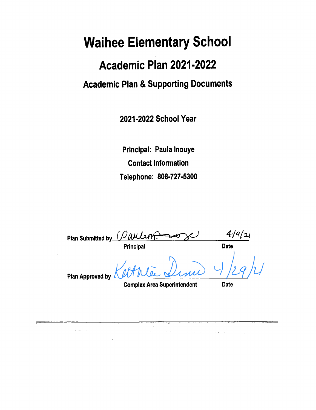# **Waihee Elementary School**

# Academic Plan 2021-2022 **Academic Plan & Supporting Documents**

2021-2022 School Year

Principal: Paula Inouye **Contact Information** Telephone: 808-727-5300

|                             | Plan Submitted by <i>[Oaulanf</i> .] |             |  |
|-----------------------------|--------------------------------------|-------------|--|
|                             | Principal                            | <b>Date</b> |  |
| Plan Approved by $\sqrt{ }$ | Arrie Dini                           |             |  |
|                             | <b>Complex Area Superintendent</b>   | Date        |  |

أناول والمتعارف المرادي

a sa mga kalawang ng kalawang ng kalawang ng kalawang ng kalawang ng kalawang ng kalawang ng kalawang ng kalawang ng kalawang ng kalawang ng kalawang ng kalawang ng kalawang ng kalawang ng kalawang ng kalawang ng kalawang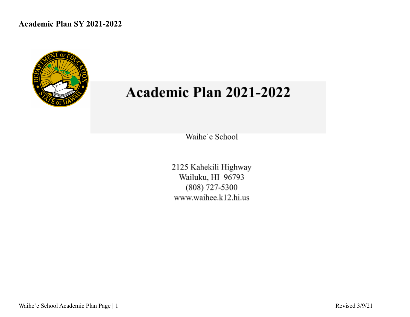

# Academic Plan 2021-2022

Waihe'e School

2125 Kahekili Highway Wailuku, HI 96793 (808) 727-5300 www.waihee.k12.hi.us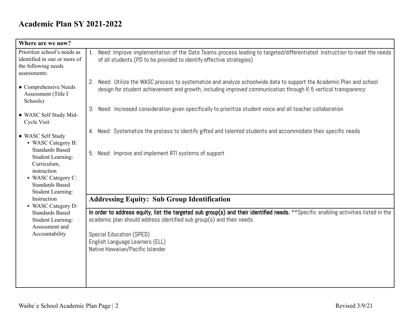| Where are we now?                                                                                                                                            |                                                                                                                                                                                                                                                                                                                 |
|--------------------------------------------------------------------------------------------------------------------------------------------------------------|-----------------------------------------------------------------------------------------------------------------------------------------------------------------------------------------------------------------------------------------------------------------------------------------------------------------|
| Prioritize school's needs as<br>identified in one or more of<br>the following needs<br>assessments:                                                          | Need: Improve implementation of the Data Teams process leading to targeted/differentiated instruction to meet the needs<br>of all students (PD to be provided to identify effective strategies)                                                                                                                 |
| • Comprehensive Needs<br>Assessment (Title I<br>Schools)                                                                                                     | Need: Utilize the WASC process to systematize and analyze schoolwide data to support the Academic Plan and school<br>2.<br>design for student achievement and growth, including improved communication through K-5 vertical transparency                                                                        |
| • WASC Self Study Mid-<br><b>Cycle Visit</b>                                                                                                                 | Need: Increased consideration given specifically to prioritize student voice and all teacher collaboration<br>3.                                                                                                                                                                                                |
| • WASC Self Study<br>• WASC Category B:                                                                                                                      | Need: Systematize the process to identify gifted and talented students and accommodate their specific needs<br>4.                                                                                                                                                                                               |
| <b>Standards Based</b><br><b>Student Learning:</b><br>Curriculum,<br>instruction<br>• WASC Category C:<br><b>Standards Based</b><br><b>Student Learning:</b> | Need: Improve and implement RTI systems of support<br>5.                                                                                                                                                                                                                                                        |
| Instruction<br>• WASC Category D:                                                                                                                            | <b>Addressing Equity: Sub Group Identification</b>                                                                                                                                                                                                                                                              |
| <b>Standards Based</b><br><b>Student Learning:</b><br>Assessment and<br>Accountability                                                                       | In order to address equity, list the targeted sub group(s) and their identified needs. **Specific enabling activities listed in the<br>academic plan should address identified sub group(s) and their needs.<br>Special Education (SPED)<br>English Language Learners (ELL)<br>Native Hawaiian/Pacific Islander |
|                                                                                                                                                              |                                                                                                                                                                                                                                                                                                                 |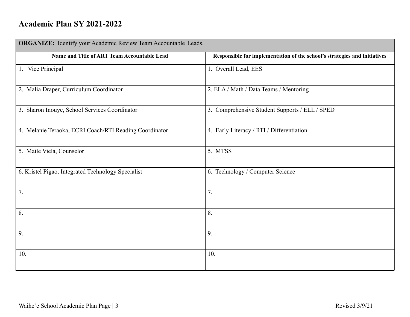| <b>ORGANIZE:</b> Identify your Academic Review Team Accountable Leads. |                                                                           |  |  |  |  |  |
|------------------------------------------------------------------------|---------------------------------------------------------------------------|--|--|--|--|--|
| Name and Title of ART Team Accountable Lead                            | Responsible for implementation of the school's strategies and initiatives |  |  |  |  |  |
| 1. Vice Principal                                                      | 1. Overall Lead, EES                                                      |  |  |  |  |  |
| 2. Malia Draper, Curriculum Coordinator                                | 2. ELA / Math / Data Teams / Mentoring                                    |  |  |  |  |  |
| 3. Sharon Inouye, School Services Coordinator                          | 3. Comprehensive Student Supports / ELL / SPED                            |  |  |  |  |  |
| 4. Melanie Teraoka, ECRI Coach/RTI Reading Coordinator                 | 4. Early Literacy / RTI / Differentiation                                 |  |  |  |  |  |
| 5. Maile Viela, Counselor                                              | 5. MTSS                                                                   |  |  |  |  |  |
| 6. Kristel Pigao, Integrated Technology Specialist                     | 6. Technology / Computer Science                                          |  |  |  |  |  |
| 7.                                                                     | 7.                                                                        |  |  |  |  |  |
| 8.                                                                     | 8.                                                                        |  |  |  |  |  |
| 9.                                                                     | 9.                                                                        |  |  |  |  |  |
| 10.                                                                    | 10.                                                                       |  |  |  |  |  |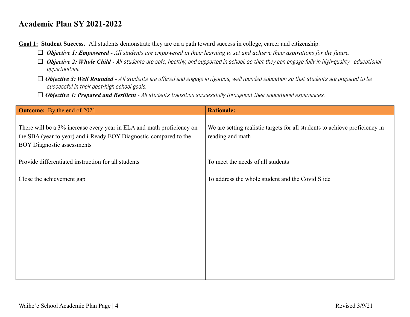**Goal 1: Student Success.** All students demonstrate they are on a path toward success in college, career and citizenship.

- ☐ *Objective 1: Empowered - All students are empowered in their learning to set and achieve their aspirations for the future.*
- □ **Objective 2: Whole Child** All students are safe, healthy, and supported in school, so that they can engage fully in high-quality educational opportunities.
- □ **Objective 3: Well Rounded** All students are offered and engage in rigorous, well rounded education so that students are prepared to be successful in their post-high school goals.
- □ **Objective 4: Prepared and Resilient** All students transition successfully throughout their educational experiences.

| <b>Outcome:</b> By the end of 2021                                                                                                                                              | <b>Rationale:</b>                                                                               |
|---------------------------------------------------------------------------------------------------------------------------------------------------------------------------------|-------------------------------------------------------------------------------------------------|
| There will be a 3% increase every year in ELA and math proficiency on<br>the SBA (year to year) and i-Ready EOY Diagnostic compared to the<br><b>BOY Diagnostic assessments</b> | We are setting realistic targets for all students to achieve proficiency in<br>reading and math |
| Provide differentiated instruction for all students                                                                                                                             | To meet the needs of all students                                                               |
| Close the achievement gap                                                                                                                                                       | To address the whole student and the Covid Slide                                                |
|                                                                                                                                                                                 |                                                                                                 |
|                                                                                                                                                                                 |                                                                                                 |
|                                                                                                                                                                                 |                                                                                                 |
|                                                                                                                                                                                 |                                                                                                 |
|                                                                                                                                                                                 |                                                                                                 |
|                                                                                                                                                                                 |                                                                                                 |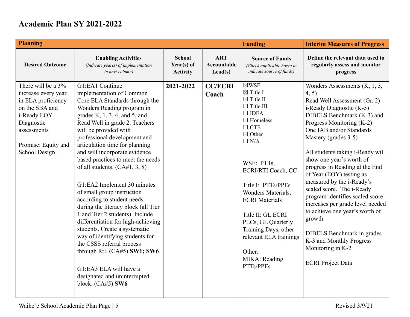| <b>Planning</b>                                                                                                                                                       |                                                                                                                                                                                                                                                                                                                                                                                                                                                                                                                                                                                                                                                                                                                                                                                                                    |                                                |                                               | <b>Funding</b>                                                                                                                                                                                                                                                                                                                                                                                                      | <b>Interim Measures of Progress</b>                                                                                                                                                                                                                                                                                                                                                                                                                                                                                                                                                                                                                 |
|-----------------------------------------------------------------------------------------------------------------------------------------------------------------------|--------------------------------------------------------------------------------------------------------------------------------------------------------------------------------------------------------------------------------------------------------------------------------------------------------------------------------------------------------------------------------------------------------------------------------------------------------------------------------------------------------------------------------------------------------------------------------------------------------------------------------------------------------------------------------------------------------------------------------------------------------------------------------------------------------------------|------------------------------------------------|-----------------------------------------------|---------------------------------------------------------------------------------------------------------------------------------------------------------------------------------------------------------------------------------------------------------------------------------------------------------------------------------------------------------------------------------------------------------------------|-----------------------------------------------------------------------------------------------------------------------------------------------------------------------------------------------------------------------------------------------------------------------------------------------------------------------------------------------------------------------------------------------------------------------------------------------------------------------------------------------------------------------------------------------------------------------------------------------------------------------------------------------------|
| <b>Desired Outcome</b>                                                                                                                                                | <b>Enabling Activities</b><br>(Indicate year(s) of implementation<br>in next column)                                                                                                                                                                                                                                                                                                                                                                                                                                                                                                                                                                                                                                                                                                                               | <b>School</b><br>Year(s) of<br><b>Activity</b> | <b>ART</b><br>Accountable<br>$\text{Lead}(s)$ | <b>Source of Funds</b><br>(Check applicable boxes to<br>indicate source of funds)                                                                                                                                                                                                                                                                                                                                   | Define the relevant data used to<br>regularly assess and monitor<br>progress                                                                                                                                                                                                                                                                                                                                                                                                                                                                                                                                                                        |
| There will be a 3%<br>increase every year<br>in ELA proficiency<br>on the SBA and<br>i-Ready EOY<br>Diagnostic<br>assessments<br>Promise: Equity and<br>School Design | G1:EA1 Continue<br>implementation of Common<br>Core ELA Standards through the<br>Wonders Reading program in<br>grades K, $1, 3, 4$ , and 5, and<br>Read Well in grade 2. Teachers<br>will be provided with<br>professional development and<br>articulation time for planning<br>and will incorporate evidence<br>based practices to meet the needs<br>of all students. $(CA#1, 3, 8)$<br>G1:EA2 Implement 30 minutes<br>of small group instruction<br>according to student needs<br>during the literacy block (all Tier<br>1 and Tier 2 students). Include<br>differentiation for high-achieving<br>students. Create a systematic<br>way of identifying students for<br>the CSSS referral process<br>through RtI. (CA#5) SW1; SW6<br>G1:EA3 ELA will have a<br>designated and uninterrupted<br>block. $(CA#5)$ SW6 | 2021-2022                                      | <b>CC/ECRI</b><br>Coach                       | $\boxtimes$ WSF<br>$\boxtimes$ Title I<br>$\boxtimes$ Title II<br>$\Box$ Title III<br>$\Box$ IDEA<br>$\Box$ Homeless<br>$\Box$ CTE<br>$\boxtimes$ Other<br>$\Box$ N/A<br>WSF: PTTs,<br>ECRI/RTI Coach, CC<br>Title I: PTTs/PPEs<br>Wonders Materials,<br><b>ECRI</b> Materials<br>Title II: GL ECRI<br>PLCs, GL Quarterly<br>Training Days, other<br>relevant ELA trainings<br>Other:<br>MIKA: Reading<br>PTTs/PPEs | Wonders Assessments $(K, 1, 3, )$<br>4, 5)<br>Read Well Assessment (Gr. 2)<br>i-Ready Diagnostic (K-5)<br>DIBELS Benchmark (K-3) and<br>Progress Monitoring (K-2)<br>One IAB and/or Standards<br>Mastery (grades 3-5)<br>All students taking i-Ready will<br>show one year's worth of<br>progress in Reading at the End<br>of Year (EOY) testing as<br>measured by the i-Ready's<br>scaled score. The i-Ready<br>program identifies scaled score<br>increases per grade level needed<br>to achieve one year's worth of<br>growth.<br><b>DIBELS</b> Benchmark in grades<br>K-3 and Monthly Progress<br>Monitoring in K-2<br><b>ECRI</b> Project Data |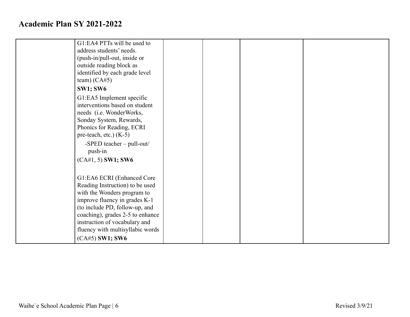| G1:EA4 PTTs will be used to      |  |  |
|----------------------------------|--|--|
| address students' needs.         |  |  |
| (push-in/pull-out, inside or     |  |  |
| outside reading block as         |  |  |
| identified by each grade level   |  |  |
| team) $(CA#5)$                   |  |  |
| <b>SW1; SW6</b>                  |  |  |
| G1:EA5 Implement specific        |  |  |
| interventions based on student   |  |  |
| needs (i.e. WonderWorks,         |  |  |
| Sonday System, Rewards,          |  |  |
| Phonics for Reading, ECRI        |  |  |
| pre-teach, etc.) $(K-5)$         |  |  |
| -SPED teacher - pull-out/        |  |  |
| push-in                          |  |  |
| $(CA#1, 5)$ SW1; SW6             |  |  |
|                                  |  |  |
| G1:EA6 ECRI (Enhanced Core       |  |  |
| Reading Instruction) to be used  |  |  |
| with the Wonders program to      |  |  |
| improve fluency in grades K-1    |  |  |
| (to include PD, follow-up, and   |  |  |
| coaching), grades 2-5 to enhance |  |  |
| instruction of vocabulary and    |  |  |
| fluency with multisyllabic words |  |  |
| $(CA#5)$ SW1; SW6                |  |  |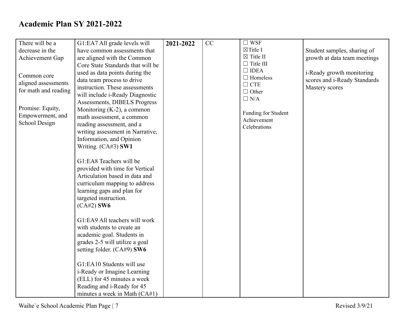| There will be a        | G1:EA7 All grade levels will                                                                                                                                                                         | 2021-2022 | CC | $\Box$ WSF           |                              |
|------------------------|------------------------------------------------------------------------------------------------------------------------------------------------------------------------------------------------------|-----------|----|----------------------|------------------------------|
| decrease in the        | have common assessments that                                                                                                                                                                         |           |    | $\boxtimes$ Title I  | Student samples, sharing of  |
|                        |                                                                                                                                                                                                      |           |    | $\boxtimes$ Title II |                              |
| <b>Achievement Gap</b> | are aligned with the Common<br>Core State Standards that will be                                                                                                                                     |           |    | $\Box$ Title III     | growth at data team meetings |
|                        |                                                                                                                                                                                                      |           |    | $\Box$ IDEA          |                              |
| Common core            | used as data points during the                                                                                                                                                                       |           |    | $\Box$ Homeless      | i-Ready growth monitoring    |
| aligned assessments    | data team process to drive                                                                                                                                                                           |           |    | $\Box$ CTE           | scores and i-Ready Standards |
| for math and reading   | instruction. These assessments                                                                                                                                                                       |           |    | $\Box$ Other         | Mastery scores               |
|                        | will include i-Ready Diagnostic                                                                                                                                                                      |           |    | $\Box$ N/A           |                              |
|                        | Assessments, DIBELS Progress                                                                                                                                                                         |           |    |                      |                              |
| Promise: Equity,       | Monitoring $(K-2)$ , a common                                                                                                                                                                        |           |    | Funding for Student  |                              |
| Empowerment, and       | math assessment, a common                                                                                                                                                                            |           |    | Achievement          |                              |
| School Design          | reading assessment, and a                                                                                                                                                                            |           |    | Celebrations         |                              |
|                        | writing assessment in Narrative,                                                                                                                                                                     |           |    |                      |                              |
|                        | Information, and Opinion                                                                                                                                                                             |           |    |                      |                              |
|                        | Writing. (CA#3) SW1                                                                                                                                                                                  |           |    |                      |                              |
|                        | G1:EA8 Teachers will be<br>provided with time for Vertical<br>Articulation based in data and<br>curriculum mapping to address<br>learning gaps and plan for<br>targeted instruction.<br>$(CA#2)$ SW6 |           |    |                      |                              |
|                        |                                                                                                                                                                                                      |           |    |                      |                              |
|                        | G1:EA9 All teachers will work                                                                                                                                                                        |           |    |                      |                              |
|                        | with students to create an                                                                                                                                                                           |           |    |                      |                              |
|                        | academic goal. Students in                                                                                                                                                                           |           |    |                      |                              |
|                        | grades 2-5 will utilize a goal                                                                                                                                                                       |           |    |                      |                              |
|                        | setting folder. (CA#9) SW6                                                                                                                                                                           |           |    |                      |                              |
|                        |                                                                                                                                                                                                      |           |    |                      |                              |
|                        | G1:EA10 Students will use                                                                                                                                                                            |           |    |                      |                              |
|                        | i-Ready or Imagine Learning                                                                                                                                                                          |           |    |                      |                              |
|                        | (ELL) for 45 minutes a week                                                                                                                                                                          |           |    |                      |                              |
|                        | Reading and i-Ready for 45                                                                                                                                                                           |           |    |                      |                              |
|                        | minutes a week in Math (CA#1)                                                                                                                                                                        |           |    |                      |                              |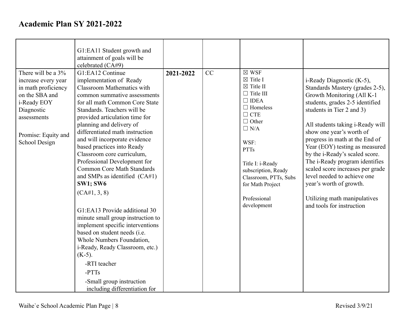|                     | G1:EA11 Student growth and                                 |           |    |                                           |                                                                  |
|---------------------|------------------------------------------------------------|-----------|----|-------------------------------------------|------------------------------------------------------------------|
|                     | attainment of goals will be                                |           |    |                                           |                                                                  |
|                     | celebrated (CA#9)                                          |           |    |                                           |                                                                  |
| There will be a 3%  | G1:EA12 Continue                                           | 2021-2022 | CC | $\boxtimes$ WSF                           |                                                                  |
| increase every year | implementation of Ready                                    |           |    | $\boxtimes$ Title I                       | i-Ready Diagnostic (K-5),                                        |
| in math proficiency | <b>Classroom Mathematics with</b>                          |           |    | $\boxtimes$ Title II                      | Standards Mastery (grades 2-5),                                  |
| on the SBA and      | common summative assessments                               |           |    | $\Box$ Title III                          | Growth Monitoring (All K-1                                       |
| i-Ready EOY         | for all math Common Core State                             |           |    | $\Box$ IDEA<br>$\Box$ Homeless            | students, grades 2-5 identified                                  |
| Diagnostic          | Standards. Teachers will be                                |           |    | $\Box$ CTE                                | students in Tier 2 and 3)                                        |
| assessments         | provided articulation time for                             |           |    | $\Box$ Other                              |                                                                  |
|                     | planning and delivery of                                   |           |    | $\Box$ N/A                                | All students taking i-Ready will                                 |
| Promise: Equity and | differentiated math instruction                            |           |    |                                           | show one year's worth of                                         |
| School Design       | and will incorporate evidence                              |           |    | WSF:                                      | progress in math at the End of                                   |
|                     | based practices into Ready                                 |           |    | <b>PTTs</b>                               | Year (EOY) testing as measured                                   |
|                     | Classroom core curriculum,<br>Professional Development for |           |    |                                           | by the i-Ready's scaled score.<br>The i-Ready program identifies |
|                     | <b>Common Core Math Standards</b>                          |           |    | Title I: i-Ready                          | scaled score increases per grade                                 |
|                     | and SMPs as identified $(CA#1)$                            |           |    | subscription, Ready                       | level needed to achieve one                                      |
|                     | <b>SW1; SW6</b>                                            |           |    | Classroom, PTTs, Subs<br>for Math Project | year's worth of growth.                                          |
|                     |                                                            |           |    |                                           |                                                                  |
|                     | (CA#1, 3, 8)                                               |           |    | Professional                              | Utilizing math manipulatives                                     |
|                     |                                                            |           |    | development                               | and tools for instruction                                        |
|                     | G1:EA13 Provide additional 30                              |           |    |                                           |                                                                  |
|                     | minute small group instruction to                          |           |    |                                           |                                                                  |
|                     | implement specific interventions                           |           |    |                                           |                                                                  |
|                     | based on student needs (i.e.                               |           |    |                                           |                                                                  |
|                     | Whole Numbers Foundation,                                  |           |    |                                           |                                                                  |
|                     | i-Ready, Ready Classroom, etc.)                            |           |    |                                           |                                                                  |
|                     | $(K-5)$ .                                                  |           |    |                                           |                                                                  |
|                     | -RTI teacher                                               |           |    |                                           |                                                                  |
|                     | -PTTs                                                      |           |    |                                           |                                                                  |
|                     | -Small group instruction                                   |           |    |                                           |                                                                  |
|                     | including differentiation for                              |           |    |                                           |                                                                  |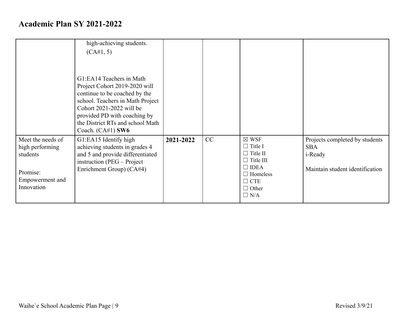|                                                                                               | high-achieving students.<br>(CA#1, 5)<br>G1:EA14 Teachers in Math<br>Project Cohort 2019-2020 will<br>continue to be coached by the<br>school. Teachers in Math Project |           |    |                                                                                                                                                        |                                                                                            |
|-----------------------------------------------------------------------------------------------|-------------------------------------------------------------------------------------------------------------------------------------------------------------------------|-----------|----|--------------------------------------------------------------------------------------------------------------------------------------------------------|--------------------------------------------------------------------------------------------|
|                                                                                               | Cohort 2021-2022 will be<br>provided PD with coaching by<br>the District RTs and school Math<br>Coach. $(CA#1)$ SW6                                                     |           |    |                                                                                                                                                        |                                                                                            |
| Meet the needs of<br>high performing<br>students<br>Promise:<br>Empowerment and<br>Innovation | G1:EA15 Identify high<br>achieving students in grades 4<br>and 5 and provide differentiated<br>instruction (PEG – Project<br>Enrichment Group) (CA#4)                   | 2021-2022 | CC | $\boxtimes$ WSF<br>$\Box$ Title I<br>$\Box$ Title II<br>$\Box$ Title III<br>$\Box$ IDEA<br>$\Box$ Homeless<br>$\Box$ CTE<br>$\Box$ Other<br>$\Box$ N/A | Projects completed by students<br><b>SBA</b><br>i-Ready<br>Maintain student identification |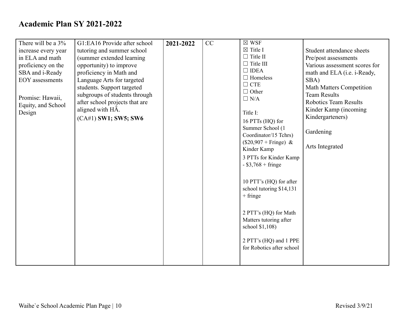|                     |                                |           |    | $\boxtimes$ WSF                     |                                 |
|---------------------|--------------------------------|-----------|----|-------------------------------------|---------------------------------|
| There will be a 3%  | G1:EA16 Provide after school   | 2021-2022 | CC |                                     |                                 |
| increase every year | tutoring and summer school     |           |    | $\boxtimes$ Title I                 | Student attendance sheets       |
| in ELA and math     | (summer extended learning      |           |    | $\Box$ Title II<br>$\Box$ Title III | Pre/post assessments            |
| proficiency on the  | opportunity) to improve        |           |    | $\Box$ IDEA                         | Various assessment scores for   |
| SBA and i-Ready     | proficiency in Math and        |           |    | $\Box$ Homeless                     | math and ELA (i.e. i-Ready,     |
| EOY assessments     | Language Arts for targeted     |           |    | $\Box$ CTE                          | SBA)                            |
|                     | students. Support targeted     |           |    | $\Box$ Other                        | <b>Math Matters Competition</b> |
| Promise: Hawaii,    | subgroups of students through  |           |    | $\Box$ N/A                          | <b>Team Results</b>             |
| Equity, and School  | after school projects that are |           |    |                                     | <b>Robotics Team Results</b>    |
| Design              | aligned with HA.               |           |    | Title I:                            | Kinder Kamp (incoming           |
|                     | (CA#1) SW1; SW5; SW6           |           |    | 16 PTTs $(HQ)$ for                  | Kindergarteners)                |
|                     |                                |           |    | Summer School (1)                   |                                 |
|                     |                                |           |    | Coordinator/15 Tchrs)               | Gardening                       |
|                     |                                |           |    | $($20,907 + Fringe)$ &              |                                 |
|                     |                                |           |    | Kinder Kamp                         | Arts Integrated                 |
|                     |                                |           |    | 3 PTTs for Kinder Kamp              |                                 |
|                     |                                |           |    | $-$ \$3,768 + fringe                |                                 |
|                     |                                |           |    |                                     |                                 |
|                     |                                |           |    |                                     |                                 |
|                     |                                |           |    | 10 PTT's (HQ) for after             |                                 |
|                     |                                |           |    | school tutoring \$14,131            |                                 |
|                     |                                |           |    | $+$ fringe                          |                                 |
|                     |                                |           |    |                                     |                                 |
|                     |                                |           |    | 2 PTT's (HQ) for Math               |                                 |
|                     |                                |           |    | Matters tutoring after              |                                 |
|                     |                                |           |    | school \$1,108)                     |                                 |
|                     |                                |           |    |                                     |                                 |
|                     |                                |           |    | 2 PTT's (HQ) and 1 PPE              |                                 |
|                     |                                |           |    | for Robotics after school           |                                 |
|                     |                                |           |    |                                     |                                 |
|                     |                                |           |    |                                     |                                 |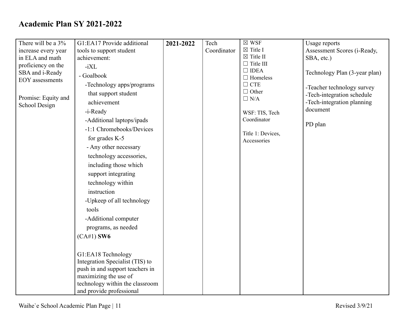| There will be a 3%                        | G1:EA17 Provide additional                               | 2021-2022 | Tech        | $\boxtimes$ WSF                 | Usage reports                 |
|-------------------------------------------|----------------------------------------------------------|-----------|-------------|---------------------------------|-------------------------------|
| increase every year                       | tools to support student                                 |           | Coordinator | $\boxtimes$ Title I             | Assessment Scores (i-Ready,   |
| in ELA and math                           | achievement:                                             |           |             | $\boxtimes$ Title II            | SBA, etc.)                    |
| proficiency on the                        | $-iXL$                                                   |           |             | $\Box$ Title III<br>$\Box$ IDEA |                               |
| SBA and i-Ready<br><b>EOY</b> assessments | - Goalbook                                               |           |             | $\Box$ Homeless                 | Technology Plan (3-year plan) |
|                                           | -Technology apps/programs                                |           |             | $\Box$ CTE                      | -Teacher technology survey    |
| Promise: Equity and                       | that support student                                     |           |             | $\Box$ Other<br>$\Box$ N/A      | -Tech-integration schedule    |
| School Design                             | achievement                                              |           |             |                                 | -Tech-integration planning    |
|                                           | -i-Ready                                                 |           |             | WSF: TIS, Tech                  | document                      |
|                                           | -Additional laptops/ipads                                |           |             | Coordinator                     | PD plan                       |
|                                           | -1:1 Chromebooks/Devices                                 |           |             | Title 1: Devices,               |                               |
|                                           | for grades K-5                                           |           |             | Accessories                     |                               |
|                                           | - Any other necessary                                    |           |             |                                 |                               |
|                                           | technology accessories,                                  |           |             |                                 |                               |
|                                           | including those which                                    |           |             |                                 |                               |
|                                           | support integrating                                      |           |             |                                 |                               |
|                                           | technology within                                        |           |             |                                 |                               |
|                                           | instruction                                              |           |             |                                 |                               |
|                                           | -Upkeep of all technology                                |           |             |                                 |                               |
|                                           | tools                                                    |           |             |                                 |                               |
|                                           | -Additional computer                                     |           |             |                                 |                               |
|                                           | programs, as needed                                      |           |             |                                 |                               |
|                                           | $(CA#1)$ SW6                                             |           |             |                                 |                               |
|                                           |                                                          |           |             |                                 |                               |
|                                           | G1:EA18 Technology                                       |           |             |                                 |                               |
|                                           | Integration Specialist (TIS) to                          |           |             |                                 |                               |
|                                           | push in and support teachers in<br>maximizing the use of |           |             |                                 |                               |
|                                           | technology within the classroom                          |           |             |                                 |                               |
|                                           | and provide professional                                 |           |             |                                 |                               |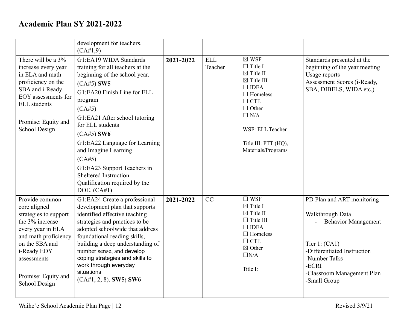|                                                                                                                                                                                                                 | development for teachers.<br>(CA#1,9)                                                                                                                                                                                                                                                                                                                                                                                    |           |                       |                                                                                                                                                                                                                                    |                                                                                                                                                                                                        |
|-----------------------------------------------------------------------------------------------------------------------------------------------------------------------------------------------------------------|--------------------------------------------------------------------------------------------------------------------------------------------------------------------------------------------------------------------------------------------------------------------------------------------------------------------------------------------------------------------------------------------------------------------------|-----------|-----------------------|------------------------------------------------------------------------------------------------------------------------------------------------------------------------------------------------------------------------------------|--------------------------------------------------------------------------------------------------------------------------------------------------------------------------------------------------------|
| There will be a 3%<br>increase every year<br>in ELA and math<br>proficiency on the<br>SBA and i-Ready<br>EOY assessments for<br><b>ELL</b> students<br>Promise: Equity and<br>School Design                     | G1:EA19 WIDA Standards<br>training for all teachers at the<br>beginning of the school year.<br>$(CA#5)$ SW5<br>G1:EA20 Finish Line for ELL<br>program<br>(CA#5)<br>G1:EA21 After school tutoring<br>for ELL students<br>$(CA#5)$ SW6<br>G1:EA22 Language for Learning<br>and Imagine Learning<br>(CA#5)<br>G1:EA23 Support Teachers in<br><b>Sheltered Instruction</b><br>Qualification required by the<br>DOE. $(CA#1)$ | 2021-2022 | <b>ELL</b><br>Teacher | $\boxtimes$ WSF<br>$\Box$ Title I<br>$\boxtimes$ Title II<br>$\boxtimes$ Title III<br>$\Box$ IDEA<br>$\Box$ Homeless<br>$\Box$ CTE<br>$\Box$ Other<br>$\Box$ N/A<br>WSF: ELL Teacher<br>Title III: PTT (HQ),<br>Materials/Programs | Standards presented at the<br>beginning of the year meeting<br>Usage reports<br>Assessment Scores (i-Ready,<br>SBA, DIBELS, WIDA etc.)                                                                 |
| Provide common<br>core aligned<br>strategies to support<br>the 3% increase<br>every year in ELA<br>and math proficiency<br>on the SBA and<br>i-Ready EOY<br>assessments<br>Promise: Equity and<br>School Design | G1:EA24 Create a professional<br>development plan that supports<br>identified effective teaching<br>strategies and practices to be<br>adopted schoolwide that address<br>foundational reading skills,<br>building a deep understanding of<br>number sense, and develop<br>coping strategies and skills to<br>work through everyday<br>situations<br>$(CA#1, 2, 8)$ . SW5; SW6                                            | 2021-2022 | CC                    | $\square$ WSF<br>$\boxtimes$ Title I<br>$\boxtimes$ Title II<br>$\Box$ Title III<br>$\Box$ IDEA<br>$\Box$ Homeless<br>$\Box$ CTE<br>$\boxtimes$ Other<br>$\Box N/A$<br>Title I:                                                    | PD Plan and ART monitoring<br>Walkthrough Data<br><b>Behavior Management</b><br>Tier $1: (CA1)$<br>-Differentiated Instruction<br>-Number Talks<br>-ECRI<br>-Classroom Management Plan<br>-Small Group |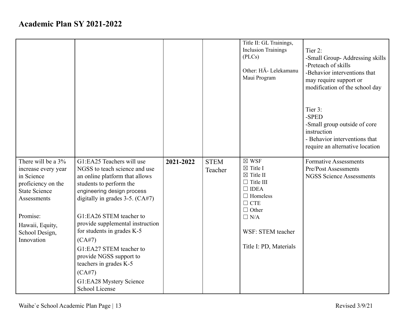|                                                                                                                                                                                     |                                                                                                                                                                                                                                                                                                                                                                                                                                                  |           |                        | Title II: GL Trainings,<br><b>Inclusion Trainings</b><br>(PLCs)<br>Other: HĀ- Lelekamanu<br>Maui Program                                                                                                        | Tier 2:<br>-Small Group-Addressing skills<br>-Preteach of skills<br>-Behavior interventions that<br>may require support or<br>modification of the school day |
|-------------------------------------------------------------------------------------------------------------------------------------------------------------------------------------|--------------------------------------------------------------------------------------------------------------------------------------------------------------------------------------------------------------------------------------------------------------------------------------------------------------------------------------------------------------------------------------------------------------------------------------------------|-----------|------------------------|-----------------------------------------------------------------------------------------------------------------------------------------------------------------------------------------------------------------|--------------------------------------------------------------------------------------------------------------------------------------------------------------|
|                                                                                                                                                                                     |                                                                                                                                                                                                                                                                                                                                                                                                                                                  |           |                        |                                                                                                                                                                                                                 | Tier 3:<br>-SPED<br>-Small group outside of core<br>instruction<br>- Behavior interventions that<br>require an alternative location                          |
| There will be a 3%<br>increase every year<br>in Science<br>proficiency on the<br><b>State Science</b><br>Assessments<br>Promise:<br>Hawaii, Equity,<br>School Design,<br>Innovation | G1:EA25 Teachers will use<br>NGSS to teach science and use<br>an online platform that allows<br>students to perform the<br>engineering design process<br>digitally in grades $3-5$ . (CA#7)<br>G1:EA26 STEM teacher to<br>provide supplemental instruction<br>for students in grades K-5<br>(CA#7)<br>G1:EA27 STEM teacher to<br>provide NGSS support to<br>teachers in grades K-5<br>(CA#7)<br>G1:EA28 Mystery Science<br><b>School License</b> | 2021-2022 | <b>STEM</b><br>Teacher | $\boxtimes$ WSF<br>$\boxtimes$ Title I<br>$\boxtimes$ Title II<br>$\Box$ Title III<br>$\Box$ IDEA<br>$\Box$ Homeless<br>$\Box$ CTE<br>$\Box$ Other<br>$\Box$ N/A<br>WSF: STEM teacher<br>Title I: PD, Materials | <b>Formative Assessments</b><br><b>Pre/Post Assessments</b><br><b>NGSS Science Assessments</b>                                                               |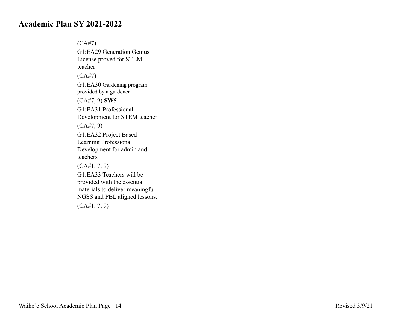| (CA#7)<br>G1:EA29 Generation Genius                                                                                         |  |  |
|-----------------------------------------------------------------------------------------------------------------------------|--|--|
| License proved for STEM<br>teacher                                                                                          |  |  |
| (CA#7)                                                                                                                      |  |  |
| G1:EA30 Gardening program<br>provided by a gardener                                                                         |  |  |
| $(CA#7, 9)$ SW5                                                                                                             |  |  |
| G1:EA31 Professional<br>Development for STEM teacher                                                                        |  |  |
| (CA#7, 9)                                                                                                                   |  |  |
| G1:EA32 Project Based                                                                                                       |  |  |
| Learning Professional                                                                                                       |  |  |
| Development for admin and<br>teachers                                                                                       |  |  |
| (CA#1, 7, 9)                                                                                                                |  |  |
| G1:EA33 Teachers will be<br>provided with the essential<br>materials to deliver meaningful<br>NGSS and PBL aligned lessons. |  |  |
| (CA#1, 7, 9)                                                                                                                |  |  |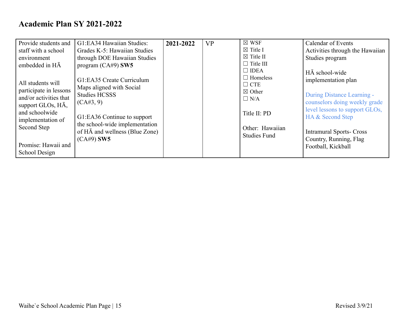| Provide students and       | G1:EA34 Hawaiian Studies:              | 2021-2022 | <b>VP</b> | $\boxtimes$ WSF      | <b>Calendar of Events</b>       |
|----------------------------|----------------------------------------|-----------|-----------|----------------------|---------------------------------|
| staff with a school        | Grades K-5: Hawaiian Studies           |           |           | $\boxtimes$ Title I  | Activities through the Hawaiian |
| environment                | through DOE Hawaiian Studies           |           |           | $\boxtimes$ Title II | Studies program                 |
| embedded in $H\bar{A}$     | program $(CA#9)$ SW5                   |           |           | $\Box$ Title III     |                                 |
|                            |                                        |           |           | $\Box$ IDEA          | HĀ school-wide                  |
|                            | G1:EA35 Create Curriculum              |           |           | $\Box$ Homeless      | implementation plan             |
| All students will          | Maps aligned with Social               |           |           | $\Box$ CTE           |                                 |
| participate in lessons     | <b>Studies HCSSS</b>                   |           |           | $\boxtimes$ Other    | During Distance Learning -      |
| and/or activities that     | (CA#3, 9)                              |           |           | $\Box$ N/A           | counselors doing weekly grade   |
| support GLOs, $H\bar{A}$ , |                                        |           |           |                      | level lessons to support GLOs,  |
| and schoolwide             | G1:EA36 Continue to support            |           |           | Title II: PD         | HA & Second Step                |
| implementation of          | the school-wide implementation         |           |           |                      |                                 |
| Second Step                | of $H\bar{A}$ and wellness (Blue Zone) |           |           | Other: Hawaiian      | <b>Intramural Sports-Cross</b>  |
|                            | $(CA#9)$ SW5                           |           |           | <b>Studies Fund</b>  | Country, Running, Flag          |
| Promise: Hawaii and        |                                        |           |           |                      | Football, Kickball              |
| School Design              |                                        |           |           |                      |                                 |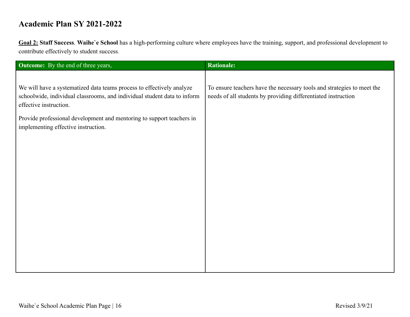**Goal 2: Staff Success**. **Waihe`e School** has a high-performing culture where employees have the training, support, and professional development to contribute effectively to student success.

| <b>Outcome:</b> By the end of three years,                                                                                                                                  | <b>Rationale:</b>                                                                                                                       |
|-----------------------------------------------------------------------------------------------------------------------------------------------------------------------------|-----------------------------------------------------------------------------------------------------------------------------------------|
|                                                                                                                                                                             |                                                                                                                                         |
| We will have a systematized data teams process to effectively analyze<br>schoolwide, individual classrooms, and individual student data to inform<br>effective instruction. | To ensure teachers have the necessary tools and strategies to meet the<br>needs of all students by providing differentiated instruction |
| Provide professional development and mentoring to support teachers in<br>implementing effective instruction.                                                                |                                                                                                                                         |
|                                                                                                                                                                             |                                                                                                                                         |
|                                                                                                                                                                             |                                                                                                                                         |
|                                                                                                                                                                             |                                                                                                                                         |
|                                                                                                                                                                             |                                                                                                                                         |
|                                                                                                                                                                             |                                                                                                                                         |
|                                                                                                                                                                             |                                                                                                                                         |
|                                                                                                                                                                             |                                                                                                                                         |
|                                                                                                                                                                             |                                                                                                                                         |
|                                                                                                                                                                             |                                                                                                                                         |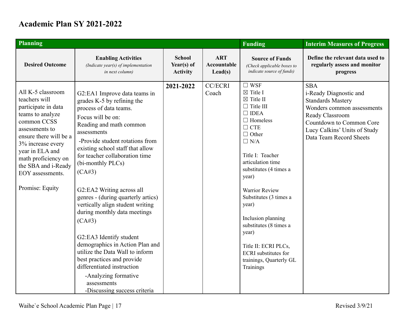| <b>Planning</b>                                                                                                                                                                                                                                                       |                                                                                                                                                                                                                                                                                                                                                                                                                                                                                                                                                                                                                                                                                  |                                                |                                               | <b>Funding</b>                                                                                                                                                                                                                                                                                                                                                                                                                                                 | <b>Interim Measures of Progress</b>                                                                                                                                                                      |
|-----------------------------------------------------------------------------------------------------------------------------------------------------------------------------------------------------------------------------------------------------------------------|----------------------------------------------------------------------------------------------------------------------------------------------------------------------------------------------------------------------------------------------------------------------------------------------------------------------------------------------------------------------------------------------------------------------------------------------------------------------------------------------------------------------------------------------------------------------------------------------------------------------------------------------------------------------------------|------------------------------------------------|-----------------------------------------------|----------------------------------------------------------------------------------------------------------------------------------------------------------------------------------------------------------------------------------------------------------------------------------------------------------------------------------------------------------------------------------------------------------------------------------------------------------------|----------------------------------------------------------------------------------------------------------------------------------------------------------------------------------------------------------|
| <b>Desired Outcome</b>                                                                                                                                                                                                                                                | <b>Enabling Activities</b><br>(Indicate year(s) of implementation<br>in next column)                                                                                                                                                                                                                                                                                                                                                                                                                                                                                                                                                                                             | <b>School</b><br>Year(s) of<br><b>Activity</b> | <b>ART</b><br>Accountable<br>$\text{Lead}(s)$ | <b>Source of Funds</b><br>(Check applicable boxes to<br>indicate source of funds)                                                                                                                                                                                                                                                                                                                                                                              | Define the relevant data used to<br>regularly assess and monitor<br>progress                                                                                                                             |
| All K-5 classroom<br>teachers will<br>participate in data<br>teams to analyze<br>common CCSS<br>assessments to<br>ensure there will be a<br>3% increase every<br>year in ELA and<br>math proficiency on<br>the SBA and i-Ready<br>EOY assessments.<br>Promise: Equity | G2:EA1 Improve data teams in<br>grades K-5 by refining the<br>process of data teams.<br>Focus will be on:<br>Reading and math common<br>assessments<br>-Provide student rotations from<br>existing school staff that allow<br>for teacher collaboration time<br>(bi-monthly PLCs)<br>(CA#3)<br>G2:EA2 Writing across all<br>genres - (during quarterly artics)<br>vertically align student writing<br>during monthly data meetings<br>(CA#3)<br>G2:EA3 Identify student<br>demographics in Action Plan and<br>utilize the Data Wall to inform<br>best practices and provide<br>differentiated instruction<br>-Analyzing formative<br>assessments<br>-Discussing success criteria | 2021-2022                                      | <b>CC/ECRI</b><br>Coach                       | $\square$ WSF<br>$\boxtimes$ Title I<br>$\boxtimes$ Title II<br>$\Box$ Title III<br>$\Box$ IDEA<br>$\Box$ Homeless<br>$\Box$ CTE<br>$\Box$ Other<br>$\Box$ N/A<br>Title I: Teacher<br>articulation time<br>substitutes (4 times a<br>year)<br><b>Warrior Review</b><br>Substitutes (3 times a<br>year)<br>Inclusion planning<br>substitutes (8 times a<br>year)<br>Title II: ECRI PLCs,<br><b>ECRI</b> substitutes for<br>trainings, Quarterly GL<br>Trainings | <b>SBA</b><br>i-Ready Diagnostic and<br><b>Standards Mastery</b><br>Wonders common assessments<br>Ready Classroom<br>Countdown to Common Core<br>Lucy Calkins' Units of Study<br>Data Team Record Sheets |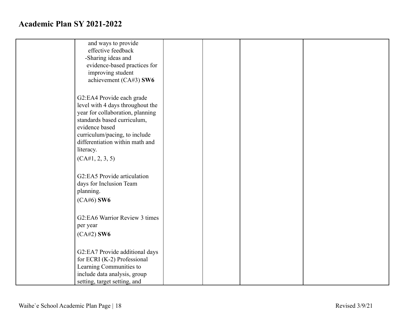| and ways to provide              |  |  |
|----------------------------------|--|--|
| effective feedback               |  |  |
| -Sharing ideas and               |  |  |
| evidence-based practices for     |  |  |
| improving student                |  |  |
| achievement (CA#3) SW6           |  |  |
|                                  |  |  |
|                                  |  |  |
| G2:EA4 Provide each grade        |  |  |
| level with 4 days throughout the |  |  |
| year for collaboration, planning |  |  |
| standards based curriculum,      |  |  |
| evidence based                   |  |  |
| curriculum/pacing, to include    |  |  |
| differentiation within math and  |  |  |
| literacy.                        |  |  |
| (CA#1, 2, 3, 5)                  |  |  |
|                                  |  |  |
|                                  |  |  |
| G2:EA5 Provide articulation      |  |  |
| days for Inclusion Team          |  |  |
| planning.                        |  |  |
| $(CA#6)$ SW6                     |  |  |
|                                  |  |  |
| G2:EA6 Warrior Review 3 times    |  |  |
| per year                         |  |  |
|                                  |  |  |
| $(CA#2)$ SW6                     |  |  |
|                                  |  |  |
| G2:EA7 Provide additional days   |  |  |
| for ECRI (K-2) Professional      |  |  |
| Learning Communities to          |  |  |
| include data analysis, group     |  |  |
| setting, target setting, and     |  |  |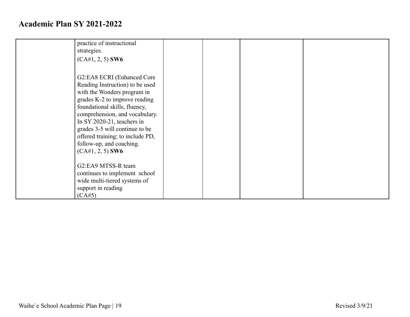| practice of instructional<br>strategies.<br>$(CA#1, 2, 5)$ SW6                                                                                                                                                                                                                                                                                         |  |  |
|--------------------------------------------------------------------------------------------------------------------------------------------------------------------------------------------------------------------------------------------------------------------------------------------------------------------------------------------------------|--|--|
| G2:EA8 ECRI (Enhanced Core<br>Reading Instruction) to be used<br>with the Wonders program in<br>grades K-2 to improve reading<br>foundational skills, fluency,<br>comprehension, and vocabulary.<br>In SY 2020-21, teachers in<br>grades 3-5 will continue to be<br>offered training; to include PD,<br>follow-up, and coaching.<br>$(CA#1, 2, 5)$ SW6 |  |  |
| G2:EA9 MTSS-R team<br>continues to implement school<br>wide multi-tiered systems of<br>support in reading<br>(CA#5)                                                                                                                                                                                                                                    |  |  |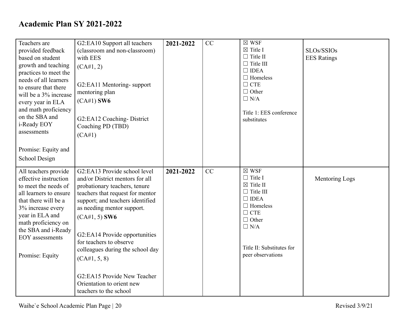| Teachers are<br>provided feedback<br>based on student<br>growth and teaching<br>practices to meet the<br>needs of all learners<br>to ensure that there<br>will be a 3% increase<br>every year in ELA                                                | G2:EA10 Support all teachers<br>(classroom and non-classroom)<br>with EES<br>(CA#1, 2)<br>G2:EA11 Mentoring-support<br>mentoring plan<br>$(CA#1)$ SW6                                                                                                                                                                                                  | 2021-2022 | CC | $\boxtimes$ WSF<br>$\boxtimes$ Title I<br>$\Box$ Title II<br>$\Box$ Title III<br>$\Box$ IDEA<br>$\Box$ Homeless<br>$\Box$ CTE<br>$\Box$ Other<br>$\Box$ N/A                                                   | SLOs/SSIOs<br><b>EES</b> Ratings |
|-----------------------------------------------------------------------------------------------------------------------------------------------------------------------------------------------------------------------------------------------------|--------------------------------------------------------------------------------------------------------------------------------------------------------------------------------------------------------------------------------------------------------------------------------------------------------------------------------------------------------|-----------|----|---------------------------------------------------------------------------------------------------------------------------------------------------------------------------------------------------------------|----------------------------------|
| and math proficiency<br>on the SBA and<br>i-Ready EOY<br>assessments                                                                                                                                                                                | G2:EA12 Coaching-District<br>Coaching PD (TBD)<br>(CA#1)                                                                                                                                                                                                                                                                                               |           |    | Title 1: EES conference<br>substitutes                                                                                                                                                                        |                                  |
| Promise: Equity and<br>School Design                                                                                                                                                                                                                |                                                                                                                                                                                                                                                                                                                                                        |           |    |                                                                                                                                                                                                               |                                  |
| All teachers provide<br>effective instruction<br>to meet the needs of<br>all learners to ensure<br>that there will be a<br>3% increase every<br>year in ELA and<br>math proficiency on<br>the SBA and i-Ready<br>EOY assessments<br>Promise: Equity | G <sub>2</sub> :EA13 Provide school level<br>and/or District mentors for all<br>probationary teachers, tenure<br>teachers that request for mentor<br>support; and teachers identified<br>as needing mentor support.<br>$(CA#1, 5)$ SW6<br>G2:EA14 Provide opportunities<br>for teachers to observe<br>colleagues during the school day<br>(CA#1, 5, 8) | 2021-2022 | CC | $\boxtimes$ WSF<br>$\Box$ Title I<br>$\boxtimes$ Title II<br>$\Box$ Title III<br>$\Box$ IDEA<br>$\Box$ Homeless<br>$\Box$ CTE<br>$\Box$ Other<br>$\Box$ N/A<br>Title II: Substitutes for<br>peer observations | Mentoring Logs                   |
|                                                                                                                                                                                                                                                     | G2:EA15 Provide New Teacher<br>Orientation to orient new<br>teachers to the school                                                                                                                                                                                                                                                                     |           |    |                                                                                                                                                                                                               |                                  |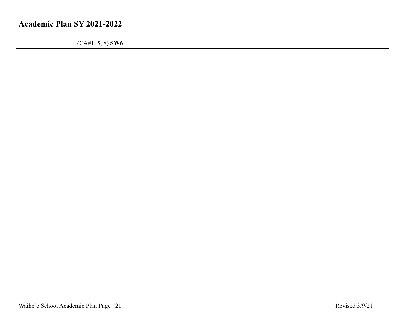| $.8)$ SW6<br>$AA^{\#}$<br><br>. . |  |  |
|-----------------------------------|--|--|
|                                   |  |  |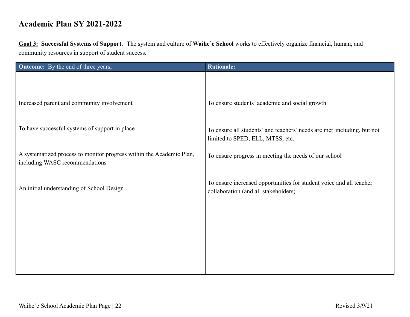**Goal 3: Successful Systems of Support.** The system and culture of **Waihe`e School** works to effectively organize financial, human, and community resources in support of student success.

| <b>Outcome:</b> By the end of three years,                           | <b>Rationale:</b>                                                                                           |
|----------------------------------------------------------------------|-------------------------------------------------------------------------------------------------------------|
|                                                                      |                                                                                                             |
|                                                                      |                                                                                                             |
| Increased parent and community involvement                           | To ensure students' academic and social growth                                                              |
|                                                                      |                                                                                                             |
| To have successful systems of support in place                       | To ensure all students' and teachers' needs are met including, but not                                      |
|                                                                      | limited to SPED, ELL, MTSS, etc.                                                                            |
| A systematized process to monitor progress within the Academic Plan, | To ensure progress in meeting the needs of our school                                                       |
| including WASC recommendations                                       |                                                                                                             |
|                                                                      |                                                                                                             |
| An initial understanding of School Design                            | To ensure increased opportunities for student voice and all teacher<br>collaboration (and all stakeholders) |
|                                                                      |                                                                                                             |
|                                                                      |                                                                                                             |
|                                                                      |                                                                                                             |
|                                                                      |                                                                                                             |
|                                                                      |                                                                                                             |
|                                                                      |                                                                                                             |
|                                                                      |                                                                                                             |
|                                                                      |                                                                                                             |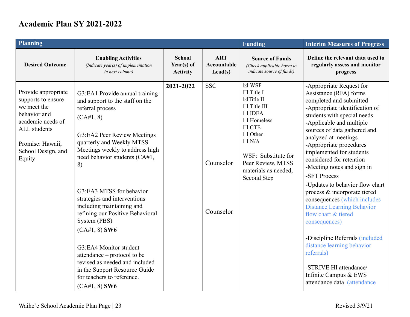| Planning                                                                                                                                                                 |                                                                                                                                                                                                                                                                                                                                                                                                                                                                   |                                                |                                               | <b>Funding</b>                                                                                                                                                                                                                                 | <b>Interim Measures of Progress</b>                                                                                                                                                                                                                                                                                                                                                                                                                                                                                                                                                                                                |
|--------------------------------------------------------------------------------------------------------------------------------------------------------------------------|-------------------------------------------------------------------------------------------------------------------------------------------------------------------------------------------------------------------------------------------------------------------------------------------------------------------------------------------------------------------------------------------------------------------------------------------------------------------|------------------------------------------------|-----------------------------------------------|------------------------------------------------------------------------------------------------------------------------------------------------------------------------------------------------------------------------------------------------|------------------------------------------------------------------------------------------------------------------------------------------------------------------------------------------------------------------------------------------------------------------------------------------------------------------------------------------------------------------------------------------------------------------------------------------------------------------------------------------------------------------------------------------------------------------------------------------------------------------------------------|
| <b>Desired Outcome</b>                                                                                                                                                   | <b>Enabling Activities</b><br>(Indicate year(s) of implementation<br>in next column)                                                                                                                                                                                                                                                                                                                                                                              | <b>School</b><br>Year(s) of<br><b>Activity</b> | <b>ART</b><br>Accountable<br>$\text{Lead}(s)$ | <b>Source of Funds</b><br>(Check applicable boxes to<br>indicate source of funds)                                                                                                                                                              | Define the relevant data used to<br>regularly assess and monitor<br>progress                                                                                                                                                                                                                                                                                                                                                                                                                                                                                                                                                       |
| Provide appropriate<br>supports to ensure<br>we meet the<br>behavior and<br>academic needs of<br><b>ALL</b> students<br>Promise: Hawaii,<br>School Design, and<br>Equity | G3:EA1 Provide annual training<br>and support to the staff on the<br>referral process<br>(CA#1, 8)<br>G3:EA2 Peer Review Meetings<br>quarterly and Weekly MTSS<br>Meetings weekly to address high<br>need behavior students (CA#1,<br>8)<br>G3:EA3 MTSS for behavior<br>strategies and interventions<br>including maintaining and<br>refining our Positive Behavioral<br>System (PBS)<br>$(CA#1, 8)$ SW6<br>G3:EA4 Monitor student<br>attendance – protocol to be | 2021-2022                                      | <b>SSC</b><br>Counselor<br>Counselor          | $\boxtimes$ WSF<br>$\Box$ Title I<br>$\boxtimes$ Title II<br>$\Box$ Title III<br>$\Box$ IDEA<br>$\Box$ Homeless<br>$\Box$ CTE<br>$\Box$ Other<br>$\Box$ N/A<br>WSF: Substitute for<br>Peer Review, MTSS<br>materials as needed,<br>Second Step | -Appropriate Request for<br>Assistance (RFA) forms<br>completed and submitted<br>-Appropriate identification of<br>students with special needs<br>-Applicable and multiple<br>sources of data gathered and<br>analyzed at meetings<br>-Appropriate procedures<br>implemented for students<br>considered for retention<br>-Meeting notes and sign in<br>-SFT Process<br>-Updates to behavior flow chart<br>process & incorporate tiered<br>consequences (which includes<br><b>Distance Learning Behavior</b><br>flow chart & tiered<br>consequences)<br>-Discipline Referrals (included<br>distance learning behavior<br>referrals) |
|                                                                                                                                                                          | revised as needed and included<br>in the Support Resource Guide<br>for teachers to reference.<br>$(CA#1, 8)$ SW6                                                                                                                                                                                                                                                                                                                                                  |                                                |                                               |                                                                                                                                                                                                                                                | -STRIVE HI attendance/<br>Infinite Campus & EWS<br>attendance data (attendance                                                                                                                                                                                                                                                                                                                                                                                                                                                                                                                                                     |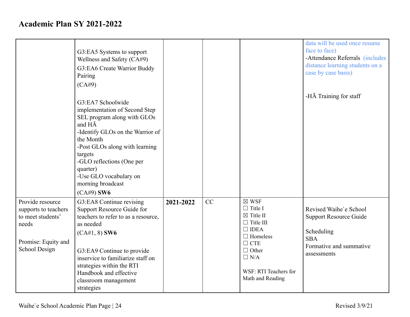|                                                                                                                | G3:EA5 Systems to support<br>Wellness and Safety (CA#9)<br>G3:EA6 Create Warrior Buddy<br>Pairing<br>(CA#9)<br>G3:EA7 Schoolwide<br>implementation of Second Step<br>SEL program along with GLOs<br>and HA<br>-Identify GLOs on the Warrior of<br>the Month<br>-Post GLOs along with learning<br>targets<br>-GLO reflections (One per<br>quarter)<br>-Use GLO vocabulary on<br>morning broadcast<br>$(CA#9)$ SW6 |           |    |                                                                                                                                                                                                          | data will be used once resume<br>face to face)<br>-Attendance Referrals (includes<br>distance learning students on a<br>case by case basis)<br>-HĀ Training for staff |
|----------------------------------------------------------------------------------------------------------------|------------------------------------------------------------------------------------------------------------------------------------------------------------------------------------------------------------------------------------------------------------------------------------------------------------------------------------------------------------------------------------------------------------------|-----------|----|----------------------------------------------------------------------------------------------------------------------------------------------------------------------------------------------------------|-----------------------------------------------------------------------------------------------------------------------------------------------------------------------|
| Provide resource<br>supports to teachers<br>to meet students'<br>needs<br>Promise: Equity and<br>School Design | G3:EA8 Continue revising<br>Support Resource Guide for<br>teachers to refer to as a resource,<br>as needed<br>$(CA#1, 8)$ SW6<br>G3:EA9 Continue to provide<br>inservice to familiarize staff on<br>strategies within the RTI<br>Handbook and effective<br>classroom management<br>strategies                                                                                                                    | 2021-2022 | CC | $\boxtimes$ WSF<br>$\Box$ Title I<br>$\boxtimes$ Title II<br>$\Box$ Title III<br>$\Box$ IDEA<br>$\Box$ Homeless<br>$\Box$ CTE<br>$\Box$ Other<br>$\Box$ N/A<br>WSF: RTI Teachers for<br>Math and Reading | Revised Waihe'e School<br><b>Support Resource Guide</b><br>Scheduling<br><b>SBA</b><br>Formative and summative<br>assessments                                         |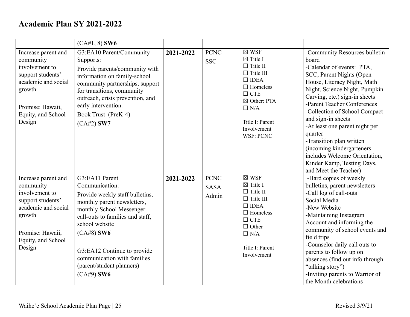|                                                                                                                                                              | $(CA#1, 8)$ SW6                                                                                                                                                                                                                                                                                                 |           |                                     |                                                                                                                                                                                                                             |                                                                                                                                                                                                                                                                                                                                                                                                                                                                                       |
|--------------------------------------------------------------------------------------------------------------------------------------------------------------|-----------------------------------------------------------------------------------------------------------------------------------------------------------------------------------------------------------------------------------------------------------------------------------------------------------------|-----------|-------------------------------------|-----------------------------------------------------------------------------------------------------------------------------------------------------------------------------------------------------------------------------|---------------------------------------------------------------------------------------------------------------------------------------------------------------------------------------------------------------------------------------------------------------------------------------------------------------------------------------------------------------------------------------------------------------------------------------------------------------------------------------|
| Increase parent and<br>community<br>involvement to<br>support students'<br>academic and social<br>growth<br>Promise: Hawaii,<br>Equity, and School<br>Design | G3:EA10 Parent/Community<br>Supports:<br>Provide parents/community with<br>information on family-school<br>community partnerships, support<br>for transitions, community<br>outreach, crisis prevention, and<br>early intervention.<br>Book Trust (PreK-4)<br>$(CA#2)$ SW7                                      | 2021-2022 | <b>PCNC</b><br><b>SSC</b>           | $\boxtimes$ WSF<br>$\boxtimes$ Title I<br>$\Box$ Title II<br>$\Box$ Title III<br>$\Box$ IDEA<br>$\Box$ Homeless<br>$\Box$ CTE<br>$\boxtimes$ Other: PTA<br>$\Box$ N/A<br>Title I: Parent<br>Involvement<br><b>WSF: PCNC</b> | -Community Resources bulletin<br>board<br>-Calendar of events: PTA,<br>SCC, Parent Nights (Open<br>House, Literacy Night, Math<br>Night, Science Night, Pumpkin<br>Carving, etc.) sign-in sheets<br>-Parent Teacher Conferences<br>-Collection of School Compact<br>and sign-in sheets<br>-At least one parent night per<br>quarter<br>-Transition plan written<br>(incoming kindergarteners)<br>includes Welcome Orientation,<br>Kinder Kamp, Testing Days,<br>and Meet the Teacher) |
| Increase parent and<br>community<br>involvement to<br>support students'<br>academic and social<br>growth<br>Promise: Hawaii,<br>Equity, and School<br>Design | G3:EA11 Parent<br>Communication:<br>Provide weekly staff bulletins,<br>monthly parent newsletters,<br>monthly School Messenger<br>call-outs to families and staff,<br>school website<br>$(CA#8)$ SW6<br>G3:EA12 Continue to provide<br>communication with families<br>(parent/student planners)<br>$(CA#9)$ SW6 | 2021-2022 | <b>PCNC</b><br><b>SASA</b><br>Admin | $\boxtimes$ WSF<br>$\boxtimes$ Title I<br>$\Box$ Title II<br>$\Box$ Title III<br>$\Box$ IDEA<br>$\Box$ Homeless<br>$\Box$ CTE<br>$\Box$ Other<br>$\Box$ N/A<br>Title I: Parent<br>Involvement                               | -Hard copies of weekly<br>bulletins, parent newsletters<br>-Call log of call-outs<br>Social Media<br>-New Website<br>-Maintaining Instagram<br>Account and informing the<br>community of school events and<br>field trips<br>-Counselor daily call outs to<br>parents to follow up on<br>absences (find out info through<br>"talking story")<br>-Inviting parents to Warrior of<br>the Month celebrations                                                                             |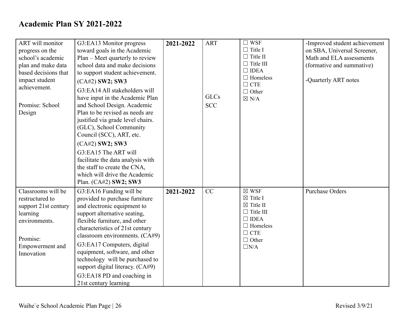| ART will monitor<br>progress on the<br>school's academic<br>plan and make data<br>based decisions that<br>impact student<br>achievement.<br>Promise: School<br>Design | G3:EA13 Monitor progress<br>toward goals in the Academic<br>Plan – Meet quarterly to review<br>school data and make decisions<br>to support student achievement.<br>$(CA#2)$ SW2; SW3<br>G3:EA14 All stakeholders will<br>have input in the Academic Plan<br>and School Design. Academic<br>Plan to be revised as needs are<br>justified via grade level chairs.<br>(GLC), School Community<br>Council (SCC), ART, etc.<br>(CA#2) SW2; SW3<br>G3:EA15 The ART will<br>facilitate the data analysis with<br>the staff to create the CNA,<br>which will drive the Academic<br>Plan. (CA#2) SW2; SW3 | 2021-2022 | <b>ART</b><br><b>GLCs</b><br><b>SCC</b> | $\Box$ WSF<br>$\Box$ Title I<br>$\Box$ Title II<br>$\Box$ Title III<br>$\Box$ IDEA<br>$\Box$ Homeless<br>$\Box$ CTE<br>$\Box$ Other<br>$\boxtimes$ N/A           | -Improved student achievement<br>on SBA, Universal Screener,<br>Math and ELA assessments<br>(formative and summative)<br>-Quarterly ART notes |
|-----------------------------------------------------------------------------------------------------------------------------------------------------------------------|---------------------------------------------------------------------------------------------------------------------------------------------------------------------------------------------------------------------------------------------------------------------------------------------------------------------------------------------------------------------------------------------------------------------------------------------------------------------------------------------------------------------------------------------------------------------------------------------------|-----------|-----------------------------------------|------------------------------------------------------------------------------------------------------------------------------------------------------------------|-----------------------------------------------------------------------------------------------------------------------------------------------|
| Classrooms will be<br>restructured to<br>support 21st century<br>learning<br>environments.<br>Promise:<br>Empowerment and<br>Innovation                               | G3:EA16 Funding will be<br>provided to purchase furniture<br>and electronic equipment to<br>support alternative seating,<br>flexible furniture, and other<br>characteristics of 21st century<br>classroom environments. (CA#9)<br>G3:EA17 Computers, digital<br>equipment, software, and other<br>technology will be purchased to<br>support digital literacy. (CA#9)<br>G3:EA18 PD and coaching in<br>21st century learning                                                                                                                                                                      | 2021-2022 | CC                                      | $\boxtimes$ WSF<br>$\boxtimes$ Title I<br>$\boxtimes$ Title II<br>$\Box$ Title III<br>$\Box$ IDEA<br>$\Box$ Homeless<br>$\Box$ CTE<br>$\Box$ Other<br>$\Box N/A$ | <b>Purchase Orders</b>                                                                                                                        |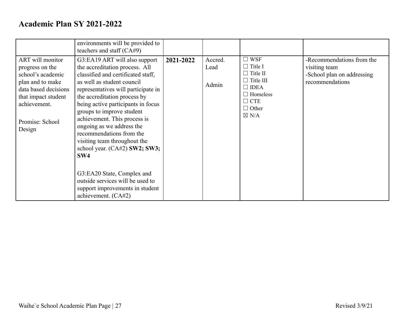|                                                                                                                                                                          | environments will be provided to<br>teachers and staff (CA#9)                                                                                                                                                                                                                                                                                                                                                                                  |           |                          |                                                                                                                                                           |                                                                                             |
|--------------------------------------------------------------------------------------------------------------------------------------------------------------------------|------------------------------------------------------------------------------------------------------------------------------------------------------------------------------------------------------------------------------------------------------------------------------------------------------------------------------------------------------------------------------------------------------------------------------------------------|-----------|--------------------------|-----------------------------------------------------------------------------------------------------------------------------------------------------------|---------------------------------------------------------------------------------------------|
| ART will monitor<br>progress on the<br>school's academic<br>plan and to make<br>data based decisions<br>that impact student<br>achievement.<br>Promise: School<br>Design | G3:EA19 ART will also support<br>the accreditation process. All<br>classified and certificated staff,<br>as well as student council<br>representatives will participate in<br>the accreditation process by<br>being active participants in focus<br>groups to improve student<br>achievement. This process is<br>ongoing as we address the<br>recommendations from the<br>visiting team throughout the<br>school year. (CA#2) SW2; SW3;<br>SW4 | 2021-2022 | Accred.<br>Lead<br>Admin | $\square$ WSF<br>$\Box$ Title I<br>$\Box$ Title II<br>$\Box$ Title III<br>$\Box$ IDEA<br>$\Box$ Homeless<br>$\Box$ CTE<br>$\Box$ Other<br>$\boxtimes$ N/A | -Recommendations from the<br>visiting team<br>-School plan on addressing<br>recommendations |
|                                                                                                                                                                          | G3:EA20 State, Complex and<br>outside services will be used to<br>support improvements in student<br>achievement. (CA#2)                                                                                                                                                                                                                                                                                                                       |           |                          |                                                                                                                                                           |                                                                                             |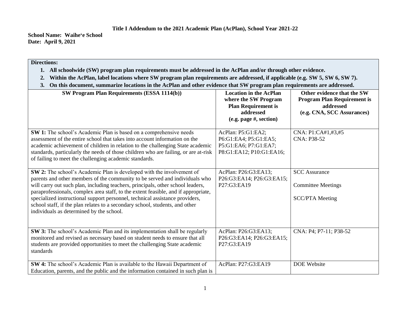**School Name: Waiheʻe School Date: April 9, 2021**

#### **Directions:**

- **1. All schoolwide (SW) program plan requirements must be addressed in the AcPlan and/or through other evidence.**
- **2. Within the AcPlan, label locations where SW program plan requirements are addressed, if applicable (e.g. SW 5, SW 6, SW 7).**
- **3. On this document, summarize locations in the AcPlan and other evidence that SW program plan requirements are addressed.**

| SW Program Plan Requirements (ESSA 1114(b))                                                                                                                                                                                                                                                                                                                                                                                                                                                                                               | <b>Location in the AcPlan</b><br>where the SW Program<br><b>Plan Requirement is</b><br>addressed<br>(e.g. page #, section) | Other evidence that the SW<br><b>Program Plan Requirement is</b><br>addressed<br>(e.g. CNA, SCC Assurances) |
|-------------------------------------------------------------------------------------------------------------------------------------------------------------------------------------------------------------------------------------------------------------------------------------------------------------------------------------------------------------------------------------------------------------------------------------------------------------------------------------------------------------------------------------------|----------------------------------------------------------------------------------------------------------------------------|-------------------------------------------------------------------------------------------------------------|
| SW 1: The school's Academic Plan is based on a comprehensive needs<br>assessment of the entire school that takes into account information on the<br>academic achievement of children in relation to the challenging State academic<br>standards, particularly the needs of those children who are failing, or are at-risk<br>of failing to meet the challenging academic standards.                                                                                                                                                       | AcPlan: P5:G1:EA2;<br>P6:G1:EA4; P5:G1:EA5;<br>P5:G1:EA6; P7:G1:EA7;<br>P8:G1:EA12; P10:G1:EA16;                           | CNA: P1:CA#1,#3,#5<br>CNA: P38-52                                                                           |
| SW 2: The school's Academic Plan is developed with the involvement of<br>parents and other members of the community to be served and individuals who<br>will carry out such plan, including teachers, principals, other school leaders,<br>paraprofessionals, complex area staff, to the extent feasible, and if appropriate,<br>specialized instructional support personnel, technical assistance providers,<br>school staff, if the plan relates to a secondary school, students, and other<br>individuals as determined by the school. | AcPlan: P26:G3:EA13;<br>P26:G3:EA14; P26:G3:EA15;<br>P27:G3:EA19                                                           | <b>SCC</b> Assurance<br><b>Committee Meetings</b><br><b>SCC/PTA</b> Meeting                                 |
| SW 3: The school's Academic Plan and its implementation shall be regularly<br>monitored and revised as necessary based on student needs to ensure that all<br>students are provided opportunities to meet the challenging State academic<br>standards                                                                                                                                                                                                                                                                                     | AcPlan: P26:G3:EA13;<br>P26:G3:EA14; P26:G3:EA15;<br>P27:G3:EA19                                                           | CNA: P4; P7-11; P38-52                                                                                      |
| SW 4: The school's Academic Plan is available to the Hawaii Department of<br>Education, parents, and the public and the information contained in such plan is                                                                                                                                                                                                                                                                                                                                                                             | AcPlan: P27:G3:EA19                                                                                                        | <b>DOE</b> Website                                                                                          |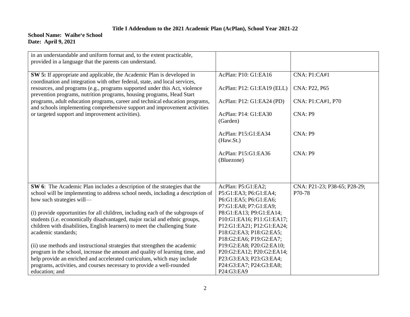#### **School Name: Waiheʻe School Date: April 9, 2021**

| in an understandable and uniform format and, to the extent practicable,<br>provided in a language that the parents can understand.                        |                                                    |                              |
|-----------------------------------------------------------------------------------------------------------------------------------------------------------|----------------------------------------------------|------------------------------|
|                                                                                                                                                           |                                                    |                              |
| SW 5: If appropriate and applicable, the Academic Plan is developed in<br>coordination and integration with other federal, state, and local services,     | AcPlan: P10: G1:EA16                               | CNA: P1:CA#1                 |
| resources, and programs (e.g., programs supported under this Act, violence<br>prevention programs, nutrition programs, housing programs, Head Start       | AcPlan: P12: G1:EA19 (ELL)                         | CNA: P22, P65                |
| programs, adult education programs, career and technical education programs,<br>and schools implementing comprehensive support and improvement activities | AcPlan: P12: G1:EA24 (PD)                          | CNA: P1:CA#1, P70            |
| or targeted support and improvement activities).                                                                                                          | AcPlan: P14: G1:EA30<br>(Garden)                   | CNA: P9                      |
|                                                                                                                                                           | AcPlan: P15:G1:EA34<br>(Haw.St.)                   | CNA: P9                      |
|                                                                                                                                                           | AcPlan: P15:G1:EA36<br>(Bluezone)                  | CNA: P9                      |
|                                                                                                                                                           |                                                    |                              |
| SW 6: The Academic Plan includes a description of the strategies that the                                                                                 | AcPlan: P5:G1:EA2;                                 | CNA: P21-23; P38-65; P28-29; |
| school will be implementing to address school needs, including a description of                                                                           | P5:G1:EA3; P6:G1:EA4;                              | P70-78                       |
| how such strategies will-                                                                                                                                 | P6:G1:EA5; P6:G1:EA6;                              |                              |
|                                                                                                                                                           | P7:G1:EA8; P7:G1:EA9;                              |                              |
| (i) provide opportunities for all children, including each of the subgroups of                                                                            | P8:G1:EA13; P9:G1:EA14;                            |                              |
| students (i.e. economically disadvantaged, major racial and ethnic groups,                                                                                | P10:G1:EA16; P11:G1:EA17;                          |                              |
| children with disabilities, English learners) to meet the challenging State<br>academic standards;                                                        | P12:G1:EA21; P12:G1:EA24;                          |                              |
|                                                                                                                                                           | P18:G2:EA3; P18:G2:EA5;<br>P18:G2:EA6; P19:G2:EA7; |                              |
| (ii) use methods and instructional strategies that strengthen the academic                                                                                | P19:G2:EA8; P20:G2:EA10;                           |                              |
| program in the school, increase the amount and quality of learning time, and                                                                              | P20:G2:EA12; P20:G2:EA14;                          |                              |
| help provide an enriched and accelerated curriculum, which may include                                                                                    | P23:G3:EA3; P23:G3:EA4;                            |                              |
| programs, activities, and courses necessary to provide a well-rounded                                                                                     | P24:G3:EA7; P24:G3:EA8;                            |                              |
| education; and                                                                                                                                            | P24:G3:EA9                                         |                              |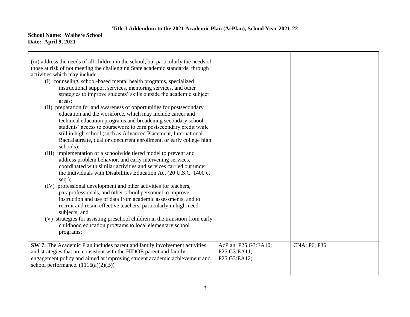#### **School Name: Waiheʻe School Date: April 9, 2021**

| (iii) address the needs of all children in the school, but particularly the needs of<br>those at risk of not meeting the challenging State academic standards, through<br>activities which may include—<br>(I) counseling, school-based mental health programs, specialized<br>instructional support services, mentoring services, and other                                                                                |                                                      |              |
|-----------------------------------------------------------------------------------------------------------------------------------------------------------------------------------------------------------------------------------------------------------------------------------------------------------------------------------------------------------------------------------------------------------------------------|------------------------------------------------------|--------------|
| strategies to improve students' skills outside the academic subject<br>areas;<br>(II) preparation for and awareness of opportunities for postsecondary<br>education and the workforce, which may include career and<br>technical education programs and broadening secondary school<br>students' access to coursework to earn postsecondary credit while<br>still in high school (such as Advanced Placement, International |                                                      |              |
| Baccalaureate, dual or concurrent enrollment, or early college high<br>schools);<br>(III) implementation of a schoolwide tiered model to prevent and<br>address problem behavior, and early intervening services,<br>coordinated with similar activities and services carried out under<br>the Individuals with Disabilities Education Act (20 U.S.C. 1400 et<br>$seq.$ );                                                  |                                                      |              |
| professional development and other activities for teachers,<br>(IV)<br>paraprofessionals, and other school personnel to improve<br>instruction and use of data from academic assessments, and to<br>recruit and retain effective teachers, particularly in high-need<br>subjects; and                                                                                                                                       |                                                      |              |
| (V) strategies for assisting preschool children in the transition from early<br>childhood education programs to local elementary school<br>programs;                                                                                                                                                                                                                                                                        |                                                      |              |
| SW 7: The Academic Plan includes parent and family involvement activities<br>and strategies that are consistent with the HIDOE parent and family<br>engagement policy and aimed at improving student academic achievement and<br>school performance. $(1116(a)(2)(B))$                                                                                                                                                      | AcPlan: P25:G3:EA10;<br>P25:G3:EA11;<br>P25:G3:EA12; | CNA: P6; P36 |